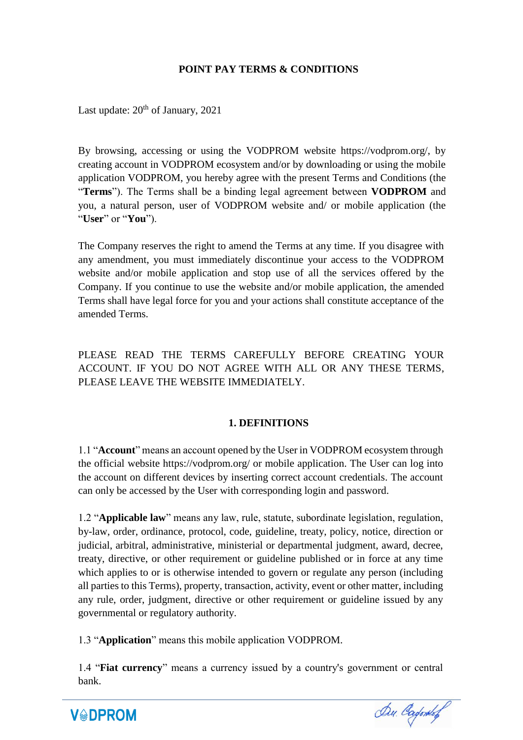### **POINT PAY TERMS & CONDITIONS**

Last update:  $20<sup>th</sup>$  of January, 2021

By browsing, accessing or using the VODPROM website https://vodprom.org/, by creating account in VODPROM ecosystem and/or by downloading or using the mobile application VODPROM, you hereby agree with the present Terms and Conditions (the "**Terms**"). The Terms shall be a binding legal agreement between **VODPROM** and you, a natural person, user of VODPROM website and/ or mobile application (the "**User**" or "**You**").

The Company reserves the right to amend the Terms at any time. If you disagree with any amendment, you must immediately discontinue your access to the VODPROM website and/or mobile application and stop use of all the services offered by the Company. If you continue to use the website and/or mobile application, the amended Terms shall have legal force for you and your actions shall constitute acceptance of the amended Terms.

PLEASE READ THE TERMS CAREFULLY BEFORE CREATING YOUR ACCOUNT. IF YOU DO NOT AGREE WITH ALL OR ANY THESE TERMS, PLEASE LEAVE THE WEBSITE IMMEDIATELY.

#### **1. DEFINITIONS**

1.1 "**Account**" means an account opened by the User in VODPROM ecosystem through the official website https://vodprom.org/ or mobile application. The User can log into the account on different devices by inserting correct account credentials. The account can only be accessed by the User with corresponding login and password.

1.2 "**Applicable law**" means any law, rule, statute, subordinate legislation, regulation, by-law, order, ordinance, protocol, code, guideline, treaty, policy, notice, direction or judicial, arbitral, administrative, ministerial or departmental judgment, award, decree, treaty, directive, or other requirement or guideline published or in force at any time which applies to or is otherwise intended to govern or regulate any person (including all parties to this Terms), property, transaction, activity, event or other matter, including any rule, order, judgment, directive or other requirement or guideline issued by any governmental or regulatory authority.

1.3 "**Application**" means this mobile application VODPROM.

**V&DPROM** 

1.4 "**Fiat currency**" means a currency issued by a country's government or central bank.

Du. Cadonof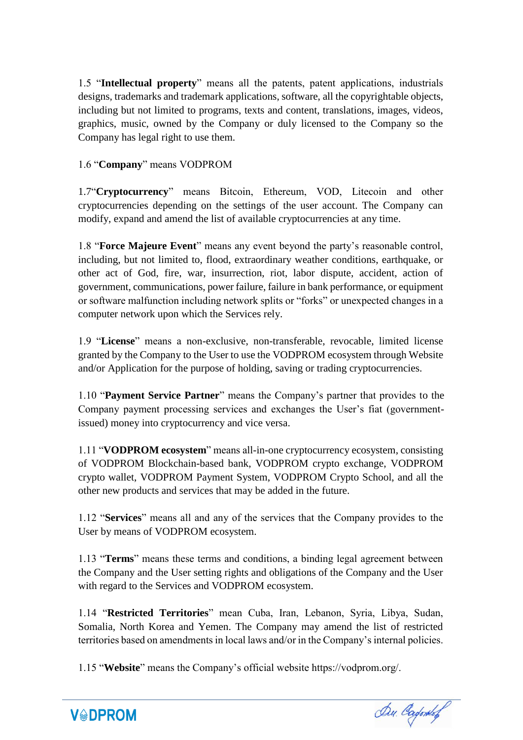1.5 "**Intellectual property**" means all the patents, patent applications, industrials designs, trademarks and trademark applications, software, all the copyrightable objects, including but not limited to programs, texts and content, translations, images, videos, graphics, music, owned by the Company or duly licensed to the Company so the Company has legal right to use them.

### 1.6 "**Company**" means VODPROM

1.7"**Cryptocurrency**" means Bitcoin, Ethereum, VOD, Litecoin and other cryptocurrencies depending on the settings of the user account. The Company can modify, expand and amend the list of available cryptocurrencies at any time.

1.8 "**Force Majeure Event**" means any event beyond the party's reasonable control, including, but not limited to, flood, extraordinary weather conditions, earthquake, or other act of God, fire, war, insurrection, riot, labor dispute, accident, action of government, communications, power failure, failure in bank performance, or equipment or software malfunction including network splits or "forks" or unexpected changes in a computer network upon which the Services rely.

1.9 "**License**" means a non-exclusive, non-transferable, revocable, limited license granted by the Company to the User to use the VODPROM ecosystem through Website and/or Application for the purpose of holding, saving or trading cryptocurrencies.

1.10 "**Payment Service Partner**" means the Company's partner that provides to the Company payment processing services and exchanges the User's fiat (governmentissued) money into cryptocurrency and vice versa.

1.11 "**VODPROM ecosystem**" means all-in-one cryptocurrency ecosystem, consisting of VODPROM Blockchain-based bank, VODPROM crypto exchange, VODPROM crypto wallet, VODPROM Payment System, VODPROM Crypto School, and all the other new products and services that may be added in the future.

1.12 "**Services**" means all and any of the services that the Company provides to the User by means of VODPROM ecosystem.

1.13 "**Terms**" means these terms and conditions, a binding legal agreement between the Company and the User setting rights and obligations of the Company and the User with regard to the Services and VODPROM ecosystem.

1.14 "**Restricted Territories**" mean Cuba, Iran, Lebanon, Syria, Libya, Sudan, Somalia, North Korea and Yemen. The Company may amend the list of restricted territories based on amendments in local laws and/or in the Company's internal policies.

1.15 "**Website**" means the Company's official website https://vodprom.org/.



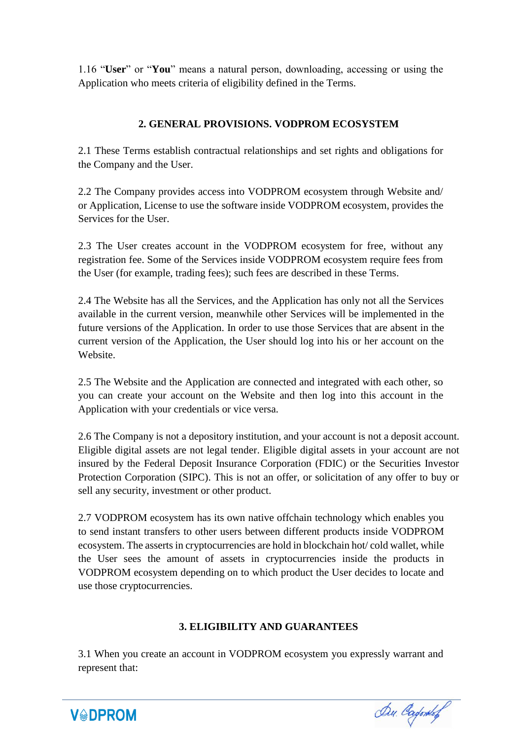1.16 "**User**" or "**You**" means a natural person, downloading, accessing or using the Application who meets criteria of eligibility defined in the Terms.

# **2. GENERAL PROVISIONS. VODPROM ECOSYSTEM**

2.1 These Terms establish contractual relationships and set rights and obligations for the Company and the User.

2.2 The Company provides access into VODPROM ecosystem through Website and/ or Application, License to use the software inside VODPROM ecosystem, provides the Services for the User.

2.3 The User creates account in the VODPROM ecosystem for free, without any registration fee. Some of the Services inside VODPROM ecosystem require fees from the User (for example, trading fees); such fees are described in these Terms.

2.4 The Website has all the Services, and the Application has only not all the Services available in the current version, meanwhile other Services will be implemented in the future versions of the Application. In order to use those Services that are absent in the current version of the Application, the User should log into his or her account on the Website.

2.5 The Website and the Application are connected and integrated with each other, so you can create your account on the Website and then log into this account in the Application with your credentials or vice versa.

2.6 The Company is not a depository institution, and your account is not a deposit account. Eligible digital assets are not legal tender. Eligible digital assets in your account are not insured by the Federal Deposit Insurance Corporation (FDIC) or the Securities Investor Protection Corporation (SIPC). This is not an offer, or solicitation of any offer to buy or sell any security, investment or other product.

2.7 VODPROM ecosystem has its own native offchain technology which enables you to send instant transfers to other users between different products inside VODPROM ecosystem. The asserts in cryptocurrencies are hold in blockchain hot/ cold wallet, while the User sees the amount of assets in cryptocurrencies inside the products in VODPROM ecosystem depending on to which product the User decides to locate and use those cryptocurrencies.

# **3. ELIGIBILITY AND GUARANTEES**

3.1 When you create an account in VODPROM ecosystem you expressly warrant and represent that:



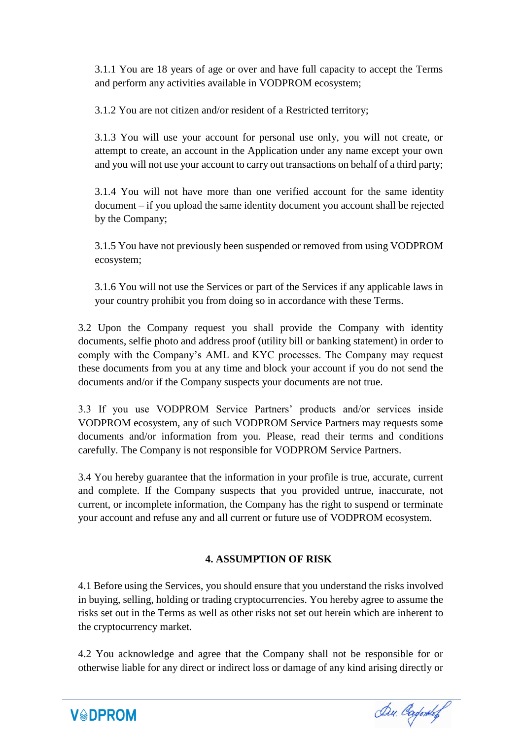3.1.1 You are 18 years of age or over and have full capacity to accept the Terms and perform any activities available in VODPROM ecosystem;

3.1.2 You are not citizen and/or resident of a Restricted territory;

3.1.3 You will use your account for personal use only, you will not create, or attempt to create, an account in the Application under any name except your own and you will not use your account to carry out transactions on behalf of a third party;

3.1.4 You will not have more than one verified account for the same identity document – if you upload the same identity document you account shall be rejected by the Company;

3.1.5 You have not previously been suspended or removed from using VODPROM ecosystem;

3.1.6 You will not use the Services or part of the Services if any applicable laws in your country prohibit you from doing so in accordance with these Terms.

3.2 Upon the Company request you shall provide the Company with identity documents, selfie photo and address proof (utility bill or banking statement) in order to comply with the Company's AML and KYC processes. The Company may request these documents from you at any time and block your account if you do not send the documents and/or if the Company suspects your documents are not true.

3.3 If you use VODPROM Service Partners' products and/or services inside VODPROM ecosystem, any of such VODPROM Service Partners may requests some documents and/or information from you. Please, read their terms and conditions carefully. The Company is not responsible for VODPROM Service Partners.

3.4 You hereby guarantee that the information in your profile is true, accurate, current and complete. If the Company suspects that you provided untrue, inaccurate, not current, or incomplete information, the Company has the right to suspend or terminate your account and refuse any and all current or future use of VODPROM ecosystem.

# **4. ASSUMPTION OF RISK**

4.1 Before using the Services, you should ensure that you understand the risks involved in buying, selling, holding or trading cryptocurrencies. You hereby agree to assume the risks set out in the Terms as well as other risks not set out herein which are inherent to the cryptocurrency market.

4.2 You acknowledge and agree that the Company shall not be responsible for or otherwise liable for any direct or indirect loss or damage of any kind arising directly or

Du. Cagontof

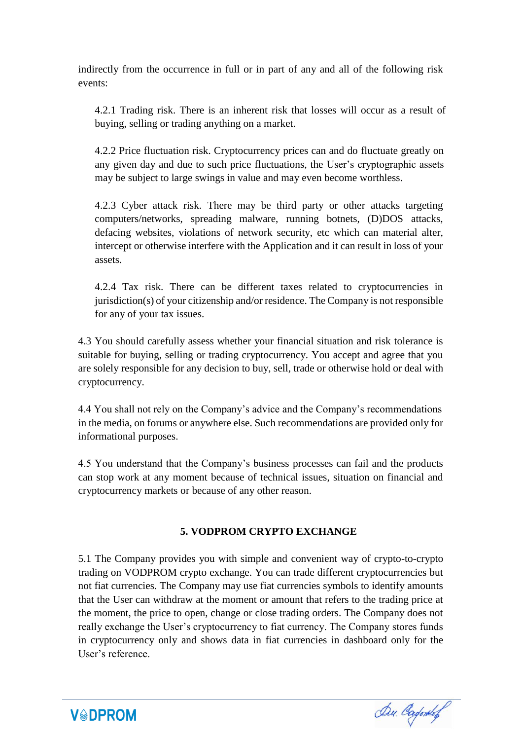indirectly from the occurrence in full or in part of any and all of the following risk events:

4.2.1 Trading risk. There is an inherent risk that losses will occur as a result of buying, selling or trading anything on a market.

4.2.2 Price fluctuation risk. Cryptocurrency prices can and do fluctuate greatly on any given day and due to such price fluctuations, the User's cryptographic assets may be subject to large swings in value and may even become worthless.

4.2.3 Cyber attack risk. There may be third party or other attacks targeting computers/networks, spreading malware, running botnets, (D)DOS attacks, defacing websites, violations of network security, etc which can material alter, intercept or otherwise interfere with the Application and it can result in loss of your assets.

4.2.4 Tax risk. There can be different taxes related to cryptocurrencies in jurisdiction(s) of your citizenship and/or residence. The Company is not responsible for any of your tax issues.

4.3 You should carefully assess whether your financial situation and risk tolerance is suitable for buying, selling or trading cryptocurrency. You accept and agree that you are solely responsible for any decision to buy, sell, trade or otherwise hold or deal with cryptocurrency.

4.4 You shall not rely on the Company's advice and the Company's recommendations in the media, on forums or anywhere else. Such recommendations are provided only for informational purposes.

4.5 You understand that the Company's business processes can fail and the products can stop work at any moment because of technical issues, situation on financial and cryptocurrency markets or because of any other reason.

# **5. VODPROM CRYPTO EXCHANGE**

5.1 The Company provides you with simple and convenient way of crypto-to-crypto trading on VODPROM crypto exchange. You can trade different cryptocurrencies but not fiat currencies. The Company may use fiat currencies symbols to identify amounts that the User can withdraw at the moment or amount that refers to the trading price at the moment, the price to open, change or close trading orders. The Company does not really exchange the User's cryptocurrency to fiat currency. The Company stores funds in cryptocurrency only and shows data in fiat currencies in dashboard only for the User's reference.



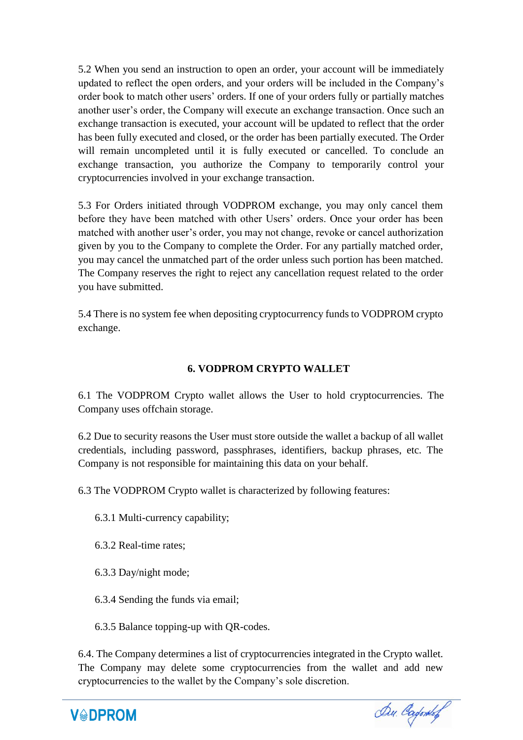5.2 When you send an instruction to open an order, your account will be immediately updated to reflect the open orders, and your orders will be included in the Company's order book to match other users' orders. If one of your orders fully or partially matches another user's order, the Company will execute an exchange transaction. Once such an exchange transaction is executed, your account will be updated to reflect that the order has been fully executed and closed, or the order has been partially executed. The Order will remain uncompleted until it is fully executed or cancelled. To conclude an exchange transaction, you authorize the Company to temporarily control your cryptocurrencies involved in your exchange transaction.

5.3 For Orders initiated through VODPROM exchange, you may only cancel them before they have been matched with other Users' orders. Once your order has been matched with another user's order, you may not change, revoke or cancel authorization given by you to the Company to complete the Order. For any partially matched order, you may cancel the unmatched part of the order unless such portion has been matched. The Company reserves the right to reject any cancellation request related to the order you have submitted.

5.4 There is no system fee when depositing cryptocurrency funds to VODPROM crypto exchange.

# **6. VODPROM CRYPTO WALLET**

6.1 The VODPROM Crypto wallet allows the User to hold cryptocurrencies. The Company uses offchain storage.

6.2 Due to security reasons the User must store outside the wallet a backup of all wallet credentials, including password, passphrases, identifiers, backup phrases, etc. The Company is not responsible for maintaining this data on your behalf.

6.3 The VODPROM Crypto wallet is characterized by following features:

6.3.1 Multi-currency capability;

6.3.2 Real-time rates;

6.3.3 Day/night mode;

6.3.4 Sending the funds via email;

6.3.5 Balance topping-up with QR-codes.

6.4. The Company determines a list of cryptocurrencies integrated in the Crypto wallet. The Company may delete some cryptocurrencies from the wallet and add new cryptocurrencies to the wallet by the Company's sole discretion.

**V&DPROM** 

Du. Capones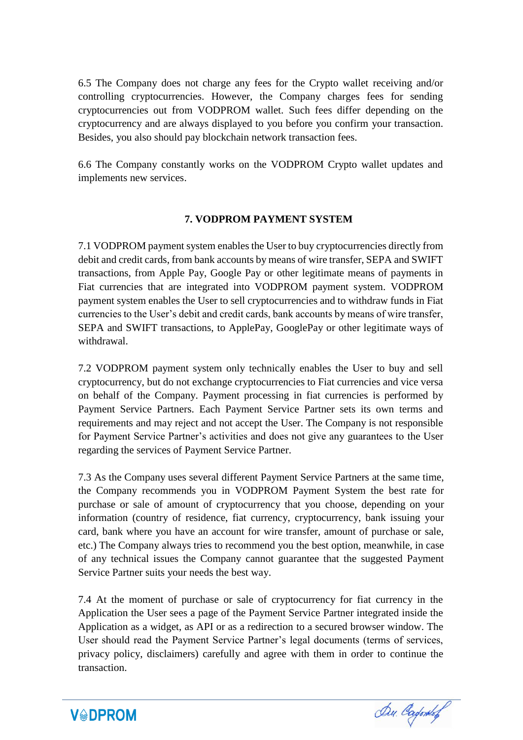6.5 The Company does not charge any fees for the Crypto wallet receiving and/or controlling cryptocurrencies. However, the Company charges fees for sending cryptocurrencies out from VODPROM wallet. Such fees differ depending on the cryptocurrency and are always displayed to you before you confirm your transaction. Besides, you also should pay blockchain network transaction fees.

6.6 The Company constantly works on the VODPROM Crypto wallet updates and implements new services.

### **7. VODPROM PAYMENT SYSTEM**

7.1 VODPROM payment system enables the User to buy cryptocurrencies directly from debit and credit cards, from bank accounts by means of wire transfer, SEPA and SWIFT transactions, from Apple Pay, Google Pay or other legitimate means of payments in Fiat currencies that are integrated into VODPROM payment system. VODPROM payment system enables the User to sell cryptocurrencies and to withdraw funds in Fiat currencies to the User's debit and credit cards, bank accounts by means of wire transfer, SEPA and SWIFT transactions, to ApplePay, GooglePay or other legitimate ways of withdrawal.

7.2 VODPROM payment system only technically enables the User to buy and sell cryptocurrency, but do not exchange cryptocurrencies to Fiat currencies and vice versa on behalf of the Company. Payment processing in fiat currencies is performed by Payment Service Partners. Each Payment Service Partner sets its own terms and requirements and may reject and not accept the User. The Company is not responsible for Payment Service Partner's activities and does not give any guarantees to the User regarding the services of Payment Service Partner.

7.3 As the Company uses several different Payment Service Partners at the same time, the Company recommends you in VODPROM Payment System the best rate for purchase or sale of amount of cryptocurrency that you choose, depending on your information (country of residence, fiat currency, cryptocurrency, bank issuing your card, bank where you have an account for wire transfer, amount of purchase or sale, etc.) The Company always tries to recommend you the best option, meanwhile, in case of any technical issues the Company cannot guarantee that the suggested Payment Service Partner suits your needs the best way.

7.4 At the moment of purchase or sale of cryptocurrency for fiat currency in the Application the User sees a page of the Payment Service Partner integrated inside the Application as a widget, as API or as a redirection to a secured browser window. The User should read the Payment Service Partner's legal documents (terms of services, privacy policy, disclaimers) carefully and agree with them in order to continue the transaction.



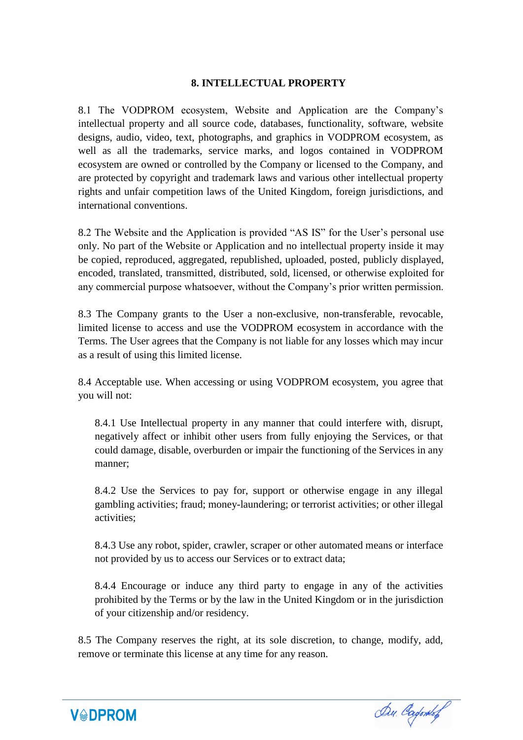### **8. INTELLECTUAL PROPERTY**

8.1 The VODPROM ecosystem, Website and Application are the Company's intellectual property and all source code, databases, functionality, software, website designs, audio, video, text, photographs, and graphics in VODPROM ecosystem, as well as all the trademarks, service marks, and logos contained in VODPROM ecosystem are owned or controlled by the Company or licensed to the Company, and are protected by copyright and trademark laws and various other intellectual property rights and unfair competition laws of the United Kingdom, foreign jurisdictions, and international conventions.

8.2 The Website and the Application is provided "AS IS" for the User's personal use only. No part of the Website or Application and no intellectual property inside it may be copied, reproduced, aggregated, republished, uploaded, posted, publicly displayed, encoded, translated, transmitted, distributed, sold, licensed, or otherwise exploited for any commercial purpose whatsoever, without the Company's prior written permission.

8.3 The Company grants to the User a non-exclusive, non-transferable, revocable, limited license to access and use the VODPROM ecosystem in accordance with the Terms. The User agrees that the Company is not liable for any losses which may incur as a result of using this limited license.

8.4 Acceptable use. When accessing or using VODPROM ecosystem, you agree that you will not:

8.4.1 Use Intellectual property in any manner that could interfere with, disrupt, negatively affect or inhibit other users from fully enjoying the Services, or that could damage, disable, overburden or impair the functioning of the Services in any manner;

8.4.2 Use the Services to pay for, support or otherwise engage in any illegal gambling activities; fraud; money-laundering; or terrorist activities; or other illegal activities;

8.4.3 Use any robot, spider, crawler, scraper or other automated means or interface not provided by us to access our Services or to extract data;

8.4.4 Encourage or induce any third party to engage in any of the activities prohibited by the Terms or by the law in the United Kingdom or in the jurisdiction of your citizenship and/or residency.

8.5 The Company reserves the right, at its sole discretion, to change, modify, add, remove or terminate this license at any time for any reason.



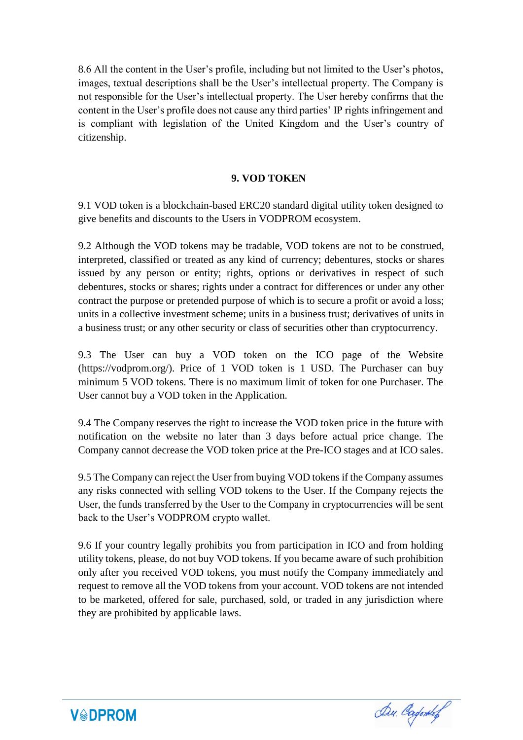8.6 All the content in the User's profile, including but not limited to the User's photos, images, textual descriptions shall be the User's intellectual property. The Company is not responsible for the User's intellectual property. The User hereby confirms that the content in the User's profile does not cause any third parties' IP rights infringement and is compliant with legislation of the United Kingdom and the User's country of citizenship.

#### **9. VOD TOKEN**

9.1 VOD token is a blockchain-based ERC20 standard digital utility token designed to give benefits and discounts to the Users in VODPROM ecosystem.

9.2 Although the VOD tokens may be tradable, VOD tokens are not to be construed, interpreted, classified or treated as any kind of currency; debentures, stocks or shares issued by any person or entity; rights, options or derivatives in respect of such debentures, stocks or shares; rights under a contract for differences or under any other contract the purpose or pretended purpose of which is to secure a profit or avoid a loss; units in a collective investment scheme; units in a business trust; derivatives of units in a business trust; or any other security or class of securities other than cryptocurrency.

9.3 The User can buy a VOD token on the ICO page of the Website (https://vodprom.org/). Price of 1 VOD token is 1 USD. The Purchaser can buy minimum 5 VOD tokens. There is no maximum limit of token for one Purchaser. The User cannot buy a VOD token in the Application.

9.4 The Company reserves the right to increase the VOD token price in the future with notification on the website no later than 3 days before actual price change. The Company cannot decrease the VOD token price at the Pre-ICO stages and at ICO sales.

9.5 The Company can reject the User from buying VOD tokens if the Company assumes any risks connected with selling VOD tokens to the User. If the Company rejects the User, the funds transferred by the User to the Company in cryptocurrencies will be sent back to the User's VODPROM crypto wallet.

9.6 If your country legally prohibits you from participation in ICO and from holding utility tokens, please, do not buy VOD tokens. If you became aware of such prohibition only after you received VOD tokens, you must notify the Company immediately and request to remove all the VOD tokens from your account. VOD tokens are not intended to be marketed, offered for sale, purchased, sold, or traded in any jurisdiction where they are prohibited by applicable laws.



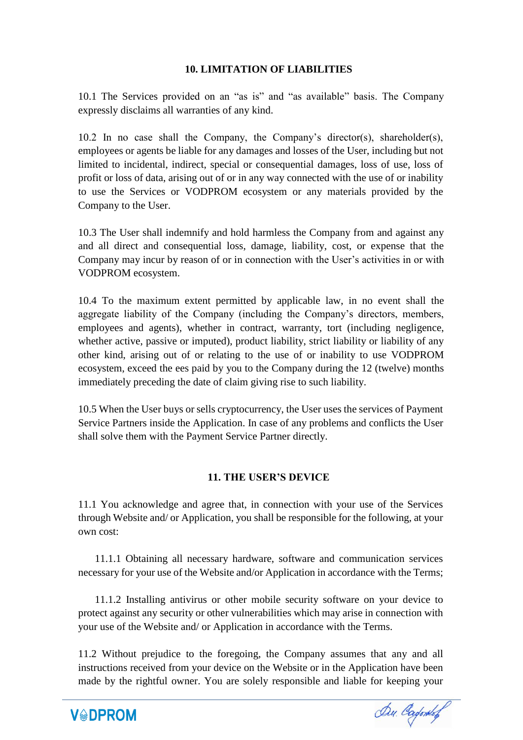### **10. LIMITATION OF LIABILITIES**

10.1 The Services provided on an "as is" and "as available" basis. The Company expressly disclaims all warranties of any kind.

10.2 In no case shall the Company, the Company's director(s), shareholder(s), employees or agents be liable for any damages and losses of the User, including but not limited to incidental, indirect, special or consequential damages, loss of use, loss of profit or loss of data, arising out of or in any way connected with the use of or inability to use the Services or VODPROM ecosystem or any materials provided by the Company to the User.

10.3 The User shall indemnify and hold harmless the Company from and against any and all direct and consequential loss, damage, liability, cost, or expense that the Company may incur by reason of or in connection with the User's activities in or with VODPROM ecosystem.

10.4 To the maximum extent permitted by applicable law, in no event shall the aggregate liability of the Company (including the Company's directors, members, employees and agents), whether in contract, warranty, tort (including negligence, whether active, passive or imputed), product liability, strict liability or liability of any other kind, arising out of or relating to the use of or inability to use VODPROM ecosystem, exceed the ees paid by you to the Company during the 12 (twelve) months immediately preceding the date of claim giving rise to such liability.

10.5 When the User buys or sells cryptocurrency, the User uses the services of Payment Service Partners inside the Application. In case of any problems and conflicts the User shall solve them with the Payment Service Partner directly.

### **11. THE USER'S DEVICE**

11.1 You acknowledge and agree that, in connection with your use of the Services through Website and/ or Application, you shall be responsible for the following, at your own cost:

11.1.1 Obtaining all necessary hardware, software and communication services necessary for your use of the Website and/or Application in accordance with the Terms;

11.1.2 Installing antivirus or other mobile security software on your device to protect against any security or other vulnerabilities which may arise in connection with your use of the Website and/ or Application in accordance with the Terms.

11.2 Without prejudice to the foregoing, the Company assumes that any and all instructions received from your device on the Website or in the Application have been made by the rightful owner. You are solely responsible and liable for keeping your



Du Cadontof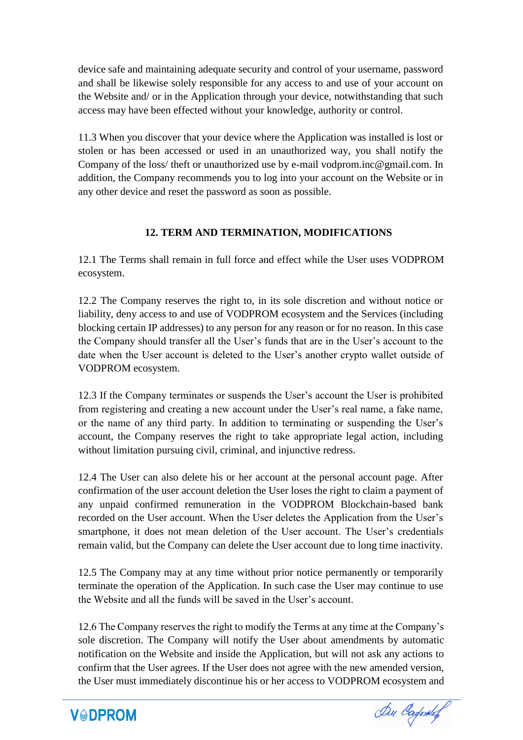device safe and maintaining adequate security and control of your username, password and shall be likewise solely responsible for any access to and use of your account on the Website and/ or in the Application through your device, notwithstanding that such access may have been effected without your knowledge, authority or control.

11.3 When you discover that your device where the Application was installed is lost or stolen or has been accessed or used in an unauthorized way, you shall notify the Company of the loss/ theft or unauthorized use by e-mail vodprom.inc@gmail.com. In addition, the Company recommends you to log into your account on the Website or in any other device and reset the password as soon as possible.

# **12. TERM AND TERMINATION, MODIFICATIONS**

12.1 The Terms shall remain in full force and effect while the User uses VODPROM ecosystem.

12.2 The Company reserves the right to, in its sole discretion and without notice or liability, deny access to and use of VODPROM ecosystem and the Services (including blocking certain IP addresses) to any person for any reason or for no reason. In this case the Company should transfer all the User's funds that are in the User's account to the date when the User account is deleted to the User's another crypto wallet outside of VODPROM ecosystem.

12.3 If the Company terminates or suspends the User's account the User is prohibited from registering and creating a new account under the User's real name, a fake name, or the name of any third party. In addition to terminating or suspending the User's account, the Company reserves the right to take appropriate legal action, including without limitation pursuing civil, criminal, and injunctive redress.

12.4 The User can also delete his or her account at the personal account page. After confirmation of the user account deletion the User loses the right to claim a payment of any unpaid confirmed remuneration in the VODPROM Blockchain-based bank recorded on the User account. When the User deletes the Application from the User's smartphone, it does not mean deletion of the User account. The User's credentials remain valid, but the Company can delete the User account due to long time inactivity.

12.5 The Company may at any time without prior notice permanently or temporarily terminate the operation of the Application. In such case the User may continue to use the Website and all the funds will be saved in the User's account.

12.6 The Company reserves the right to modify the Terms at any time at the Company's sole discretion. The Company will notify the User about amendments by automatic notification on the Website and inside the Application, but will not ask any actions to confirm that the User agrees. If the User does not agree with the new amended version, the User must immediately discontinue his or her access to VODPROM ecosystem and



Du. Cadorkof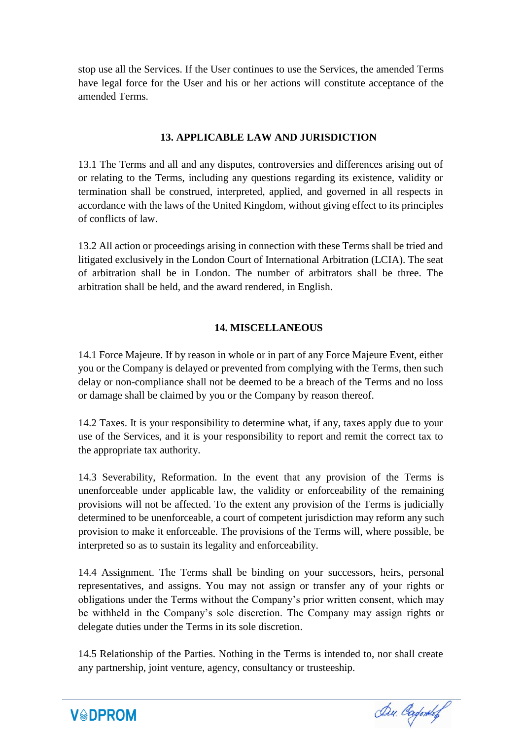stop use all the Services. If the User continues to use the Services, the amended Terms have legal force for the User and his or her actions will constitute acceptance of the amended Terms.

#### **13. APPLICABLE LAW AND JURISDICTION**

13.1 The Terms and all and any disputes, controversies and differences arising out of or relating to the Terms, including any questions regarding its existence, validity or termination shall be construed, interpreted, applied, and governed in all respects in accordance with the laws of the United Kingdom, without giving effect to its principles of conflicts of law.

13.2 All action or proceedings arising in connection with these Terms shall be tried and litigated exclusively in the London Court of International Arbitration (LCIA). The seat of arbitration shall be in London. The number of arbitrators shall be three. The arbitration shall be held, and the award rendered, in English.

### **14. MISCELLANEOUS**

14.1 Force Majeure. If by reason in whole or in part of any Force Majeure Event, either you or the Company is delayed or prevented from complying with the Terms, then such delay or non-compliance shall not be deemed to be a breach of the Terms and no loss or damage shall be claimed by you or the Company by reason thereof.

14.2 Taxes. It is your responsibility to determine what, if any, taxes apply due to your use of the Services, and it is your responsibility to report and remit the correct tax to the appropriate tax authority.

14.3 Severability, Reformation. In the event that any provision of the Terms is unenforceable under applicable law, the validity or enforceability of the remaining provisions will not be affected. To the extent any provision of the Terms is judicially determined to be unenforceable, a court of competent jurisdiction may reform any such provision to make it enforceable. The provisions of the Terms will, where possible, be interpreted so as to sustain its legality and enforceability.

14.4 Assignment. The Terms shall be binding on your successors, heirs, personal representatives, and assigns. You may not assign or transfer any of your rights or obligations under the Terms without the Company's prior written consent, which may be withheld in the Company's sole discretion. The Company may assign rights or delegate duties under the Terms in its sole discretion.

14.5 Relationship of the Parties. Nothing in the Terms is intended to, nor shall create any partnership, joint venture, agency, consultancy or trusteeship.